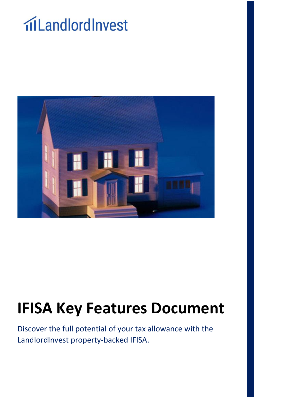# **ilLandlordInvest**



## **IFISA Key Features Document**

Discover the full potential of your tax allowance with the LandlordInvest property-backed IFISA.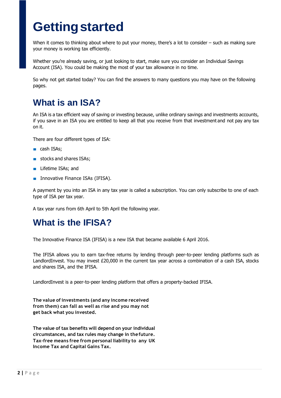## **Gettingstarted**

When it comes to thinking about where to put your money, there's a lot to consider – such as making sure your money is working tax efficiently.

Whether you're already saving, or just looking to start, make sure you consider an Individual Savings Account (ISA). You could be making the most of your tax allowance in no time.

So why not get started today? You can find the answers to many questions you may have on the following pages.

#### **What is an ISA?**

An ISA is a tax efficient way of saving or investing because, unlike ordinary savings and investments accounts, if you save in an ISA you are entitled to keep all that you receive from that investment and not pay any tax on it.

There are four different types of ISA:

- cash ISAs;
- stocks and shares ISAs:
- Lifetime ISAs; and
- Innovative Finance ISAs (IFISA).

A payment by you into an ISA in any tax year is called a subscription. You can only subscribe to one of each type of ISA per tax year.

A tax year runs from 6th April to 5th April the following year.

#### **What is the IFISA?**

The Innovative Finance ISA (IFISA) is a new ISA that became available 6 April 2016.

The IFISA allows you to earn tax-free returns by lending through peer-to-peer lending platforms such as LandlordInvest. You may invest £20,000 in the current tax year across a combination of a cash ISA, stocks and shares ISA, and the IFISA.

LandlordInvest is a peer-to-peer lending platform that offers a property-backed IFISA.

**The value of investments (and any income received from them) can fall as well as rise and you may not get back what you invested.**

**The value of tax benefits will depend on your individual circumstances, and tax rules may change in thefuture. Tax-free means free from personal liability to any UK Income Tax and Capital Gains Tax.**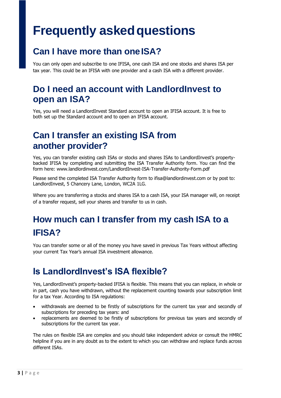### **Frequently asked questions**

#### **Can I have more than oneISA?**

You can only open and subscribe to one IFISA, one cash ISA and one stocks and shares ISA per tax year. This could be an IFISA with one provider and a cash ISA with a different provider.

#### **Do I need an account with LandlordInvest to open an ISA?**

Yes, you will need a LandlordInvest Standard account to open an IFISA account. It is free to both set up the Standard account and to open an IFISA account.

#### **Can I transfer an existing ISA from another provider?**

Yes, you can transfer existing cash ISAs or stocks and shares ISAs to LandlordInvest's propertybacked IFISA by completing and submitting the ISA Transfer Authority form. You can find the form here: www.landlordinvest.com/LandlordInvest-ISA-Transfer-Authority-Form.pdf

Please send the completed ISA Transfer Authority form to ifisa@landlordinvest.com or by post to: LandlordInvest, 5 Chancery Lane, London, WC2A 1LG.

Where you are transferring a stocks and shares ISA to a cash ISA, your ISA manager will, on receipt of a transfer request, sell your shares and transfer to us in cash.

#### **How much can I transfer from my cash ISA to a IFISA?**

You can transfer some or all of the money you have saved in previous Tax Years without affecting your current Tax Year's annual ISA investment allowance.

#### **Is LandlordInvest's ISA flexible?**

Yes, LandlordInvest's property-backed IFISA is flexible. This means that you can replace, in whole or in part, cash you have withdrawn, without the replacement counting towards your subscription limit for a tax Year. According to ISA regulations:

- withdrawals are deemed to be firstly of subscriptions for the current tax year and secondly of subscriptions for preceding tax years: and
- replacements are deemed to be firstly of subscriptions for previous tax years and secondly of subscriptions for the current tax year.

The rules on flexible ISA are complex and you should take independent advice or consult the HMRC helpline if you are in any doubt as to the extent to which you can withdraw and replace funds across different ISAs.